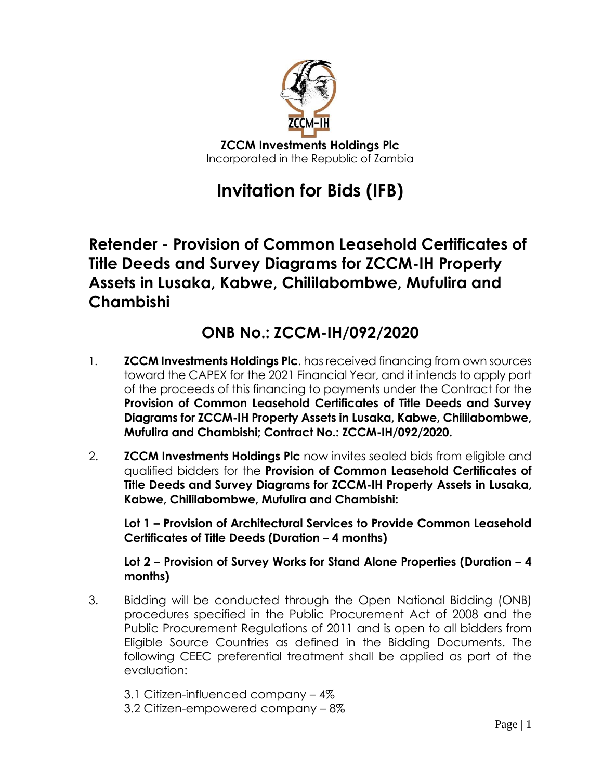

## **Invitation for Bids (IFB)**

## **Retender - Provision of Common Leasehold Certificates of Title Deeds and Survey Diagrams for ZCCM-IH Property Assets in Lusaka, Kabwe, Chililabombwe, Mufulira and Chambishi**

## **ONB No.: ZCCM-IH/092/2020**

- 1. **ZCCM Investments Holdings Plc**. has received financing from own sources toward the CAPEX for the 2021 Financial Year, and it intends to apply part of the proceeds of this financing to payments under the Contract for the **Provision of Common Leasehold Certificates of Title Deeds and Survey Diagrams for ZCCM-IH Property Assets in Lusaka, Kabwe, Chililabombwe, Mufulira and Chambishi; Contract No.: ZCCM-IH/092/2020.**
- 2. **ZCCM Investments Holdings Plc** now invites sealed bids from eligible and qualified bidders for the **Provision of Common Leasehold Certificates of Title Deeds and Survey Diagrams for ZCCM-IH Property Assets in Lusaka, Kabwe, Chililabombwe, Mufulira and Chambishi:**

**Lot 1 – Provision of Architectural Services to Provide Common Leasehold Certificates of Title Deeds (Duration – 4 months)**

## **Lot 2 – Provision of Survey Works for Stand Alone Properties (Duration – 4 months)**

- 3. Bidding will be conducted through the Open National Bidding (ONB) procedures specified in the Public Procurement Act of 2008 and the Public Procurement Regulations of 2011 and is open to all bidders from Eligible Source Countries as defined in the Bidding Documents. The following CEEC preferential treatment shall be applied as part of the evaluation:
	- 3.1 Citizen-influenced company 4%
	- 3.2 Citizen-empowered company 8%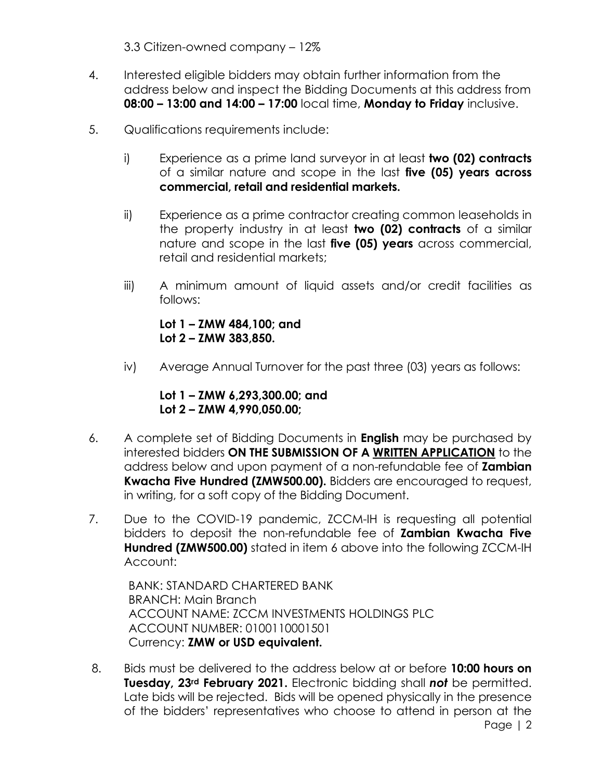3.3 Citizen-owned company – 12%

- 4. Interested eligible bidders may obtain further information from the address below and inspect the Bidding Documents at this address from **08:00 – 13:00 and 14:00 – 17:00** local time, **Monday to Friday** inclusive.
- 5. Qualifications requirements include:
	- i) Experience as a prime land surveyor in at least **two (02) contracts** of a similar nature and scope in the last **five (05) years across commercial, retail and residential markets.**
	- ii) Experience as a prime contractor creating common leaseholds in the property industry in at least **two (02) contracts** of a similar nature and scope in the last **five (05) years** across commercial, retail and residential markets;
	- iii) A minimum amount of liquid assets and/or credit facilities as follows:

**Lot 1 – ZMW 484,100; and Lot 2 – ZMW 383,850.**

iv) Average Annual Turnover for the past three (03) years as follows:

**Lot 1 – ZMW 6,293,300.00; and Lot 2 – ZMW 4,990,050.00;**

- 6. A complete set of Bidding Documents in **English** may be purchased by interested bidders **ON THE SUBMISSION OF A WRITTEN APPLICATION** to the address below and upon payment of a non-refundable fee of **Zambian Kwacha Five Hundred (ZMW500.00).** Bidders are encouraged to request, in writing, for a soft copy of the Bidding Document.
- 7. Due to the COVID-19 pandemic, ZCCM-IH is requesting all potential bidders to deposit the non-refundable fee of **Zambian Kwacha Five Hundred (ZMW500.00)** stated in item 6 above into the following ZCCM-IH Account:

BANK: STANDARD CHARTERED BANK BRANCH: Main Branch ACCOUNT NAME: ZCCM INVESTMENTS HOLDINGS PLC ACCOUNT NUMBER: 0100110001501 Currency: **ZMW or USD equivalent.**

8. Bids must be delivered to the address below at or before **10:00 hours on Tuesday, 23rd February 2021.** Electronic bidding shall *not* be permitted. Late bids will be rejected. Bids will be opened physically in the presence of the bidders' representatives who choose to attend in person at the